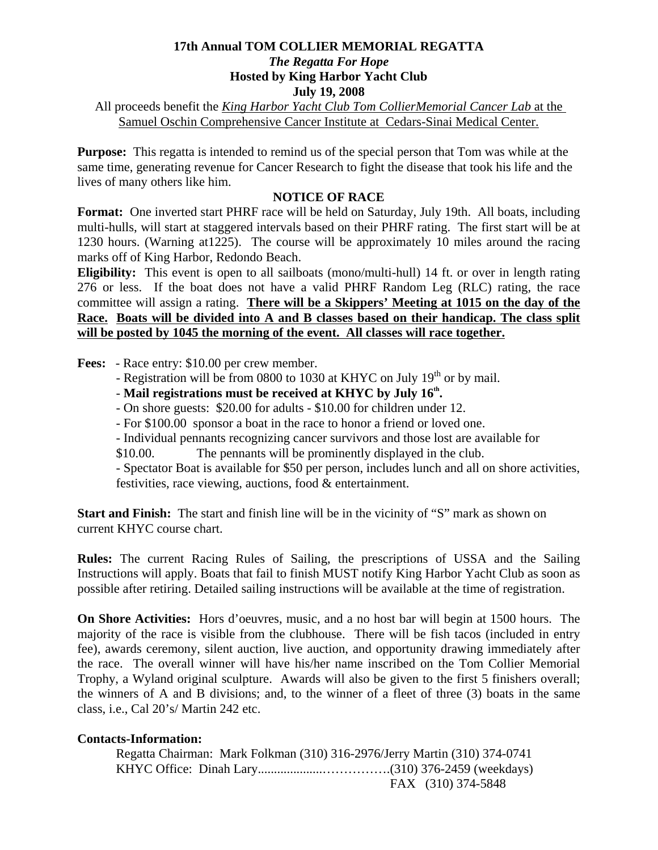## **17th Annual TOM COLLIER MEMORIAL REGATTA**  *The Regatta For Hope*  **Hosted by King Harbor Yacht Club July 19, 2008**

All proceeds benefit the *King Harbor Yacht Club Tom CollierMemorial Cancer Lab* at the Samuel Oschin Comprehensive Cancer Institute at Cedars-Sinai Medical Center.

**Purpose:** This regatta is intended to remind us of the special person that Tom was while at the same time, generating revenue for Cancer Research to fight the disease that took his life and the lives of many others like him.

## **NOTICE OF RACE**

**Format:** One inverted start PHRF race will be held on Saturday, July 19th. All boats, including multi-hulls, will start at staggered intervals based on their PHRF rating. The first start will be at 1230 hours. (Warning at1225). The course will be approximately 10 miles around the racing marks off of King Harbor, Redondo Beach.

**Eligibility:** This event is open to all sailboats (mono/multi-hull) 14 ft. or over in length rating 276 or less. If the boat does not have a valid PHRF Random Leg (RLC) rating, the race committee will assign a rating. **There will be a Skippers' Meeting at 1015 on the day of the Race. Boats will be divided into A and B classes based on their handicap. The class split will be posted by 1045 the morning of the event. All classes will race together.**

**Fees:** - Race entry: \$10.00 per crew member.

- Registration will be from 0800 to 1030 at KHYC on July  $19<sup>th</sup>$  or by mail.
- Mail registrations must be received at KHYC by July 16<sup>th</sup>.
	- On shore guests: \$20.00 for adults \$10.00 for children under 12.
	- For \$100.00 sponsor a boat in the race to honor a friend or loved one.
	- Individual pennants recognizing cancer survivors and those lost are available for
	- \$10.00. The pennants will be prominently displayed in the club.

 - Spectator Boat is available for \$50 per person, includes lunch and all on shore activities, festivities, race viewing, auctions, food & entertainment.

**Start and Finish:** The start and finish line will be in the vicinity of "S" mark as shown on current KHYC course chart.

**Rules:** The current Racing Rules of Sailing, the prescriptions of USSA and the Sailing Instructions will apply. Boats that fail to finish MUST notify King Harbor Yacht Club as soon as possible after retiring. Detailed sailing instructions will be available at the time of registration.

**On Shore Activities:** Hors d'oeuvres, music, and a no host bar will begin at 1500 hours. The majority of the race is visible from the clubhouse. There will be fish tacos (included in entry fee), awards ceremony, silent auction, live auction, and opportunity drawing immediately after the race. The overall winner will have his/her name inscribed on the Tom Collier Memorial Trophy, a Wyland original sculpture. Awards will also be given to the first 5 finishers overall; the winners of A and B divisions; and, to the winner of a fleet of three (3) boats in the same class, i.e., Cal 20's/ Martin 242 etc.

## **Contacts-Information:**

| Regatta Chairman: Mark Folkman (310) 316-2976/Jerry Martin (310) 374-0741 |                    |
|---------------------------------------------------------------------------|--------------------|
|                                                                           |                    |
|                                                                           | FAX (310) 374-5848 |